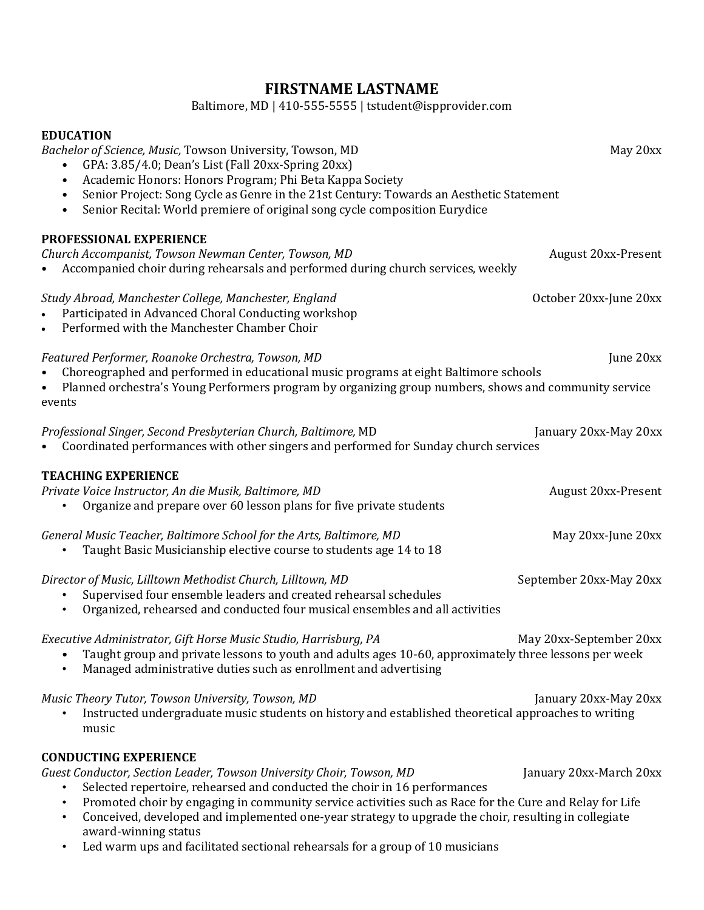## **FIRSTNAME LASTNAME**

Baltimore, MD | 410-555-5555 | tstudent@ispprovider.com

# **EDUCATION** *Bachelor of Science, Music, Towson University, Towson, MD* May 20xx • GPA: 3.85/4.0; Dean's List (Fall 20xx-Spring 20xx) • Academic Honors: Honors Program; Phi Beta Kappa Society • Senior Project: Song Cycle as Genre in the 21st Century: Towards an Aesthetic Statement • Senior Recital: World premiere of original song cycle composition Eurydice **PROFESSIONAL EXPERIENCE** *Church Accompanist, Towson Newman Center, Towson, MD* August 20xx-Present • Accompanied choir during rehearsals and performed during church services, weekly *Study Abroad, Manchester College, Manchester, England* October 20xx-June 20xx • Participated in Advanced Choral Conducting workshop • Performed with the Manchester Chamber Choir *Featured Performer, Roanoke Orchestra, Towson, MD* June 20xx • Choreographed and performed in educational music programs at eight Baltimore schools • Planned orchestra's Young Performers program by organizing group numbers, shows and community service events *Professional Singer, Second Presbyterian Church, Baltimore,* MD January 20xx-May 20xx • Coordinated performances with other singers and performed for Sunday church services **TEACHING EXPERIENCE** *Private Voice Instructor, An die Musik, Baltimore, MD* August 20xx-Present • Organize and prepare over 60 lesson plans for five private students *General Music Teacher, Baltimore School for the Arts, Baltimore, MD* May 20xx-June 20xx<br>• Taught Basic Musicianship elective course to students age 14 to 18 • Taught Basic Musicianship elective course to students age 14 to 18 *Director of Music, Lilltown Methodist Church, Lilltown, MD* September 20xx-May 20xx • Supervised four ensemble leaders and created rehearsal schedules<br>• Organized, rehearsed and conducted four musical ensembles and all • Organized, rehearsed and conducted four musical ensembles and all activities *Executive Administrator, Gift Horse Music Studio, Harrisburg, PA* Many 20xx-September 20xx • Taught group and private lessons to youth and adults ages 10-60, approximately three lessons per week<br>• Managed administrative duties such as enrollment and advertising • Managed administrative duties such as enrollment and advertising *Music Theory Tutor, Towson University, Towson, MD*  $\blacksquare$  January 20xx-May 20xx-May 20xx • Instructed undergraduate music students on history and established theoretical approaches to writing music **CONDUCTING EXPERIENCE** *Guest Conductor, Section Leader, Towson University Choir, Towson, MD* January 20xx-March 20xx • Selected repertoire, rehearsed and conducted the choir in 16 performances

- Promoted choir by engaging in community service activities such as Race for the Cure and Relay for Life
- Conceived, developed and implemented one-year strategy to upgrade the choir, resulting in collegiate award-winning status
- Led warm ups and facilitated sectional rehearsals for a group of 10 musicians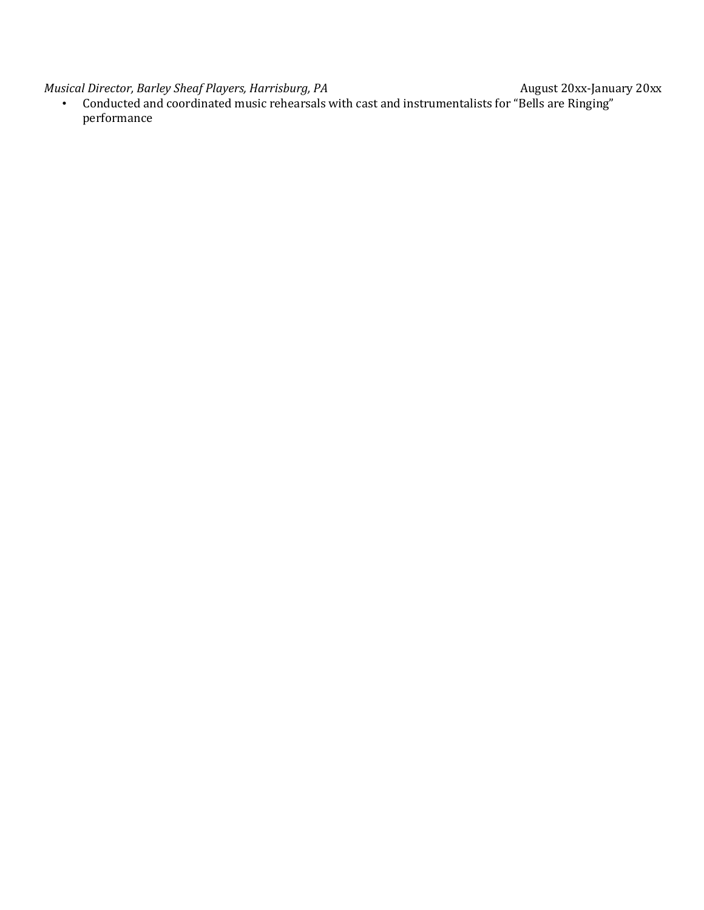*Musical Director, Barley Sheaf Players, Harrisburg, PA* August 20xx-January 20xx

• Conducted and coordinated music rehearsals with cast and instrumentalists for "Bells are Ringing" performance